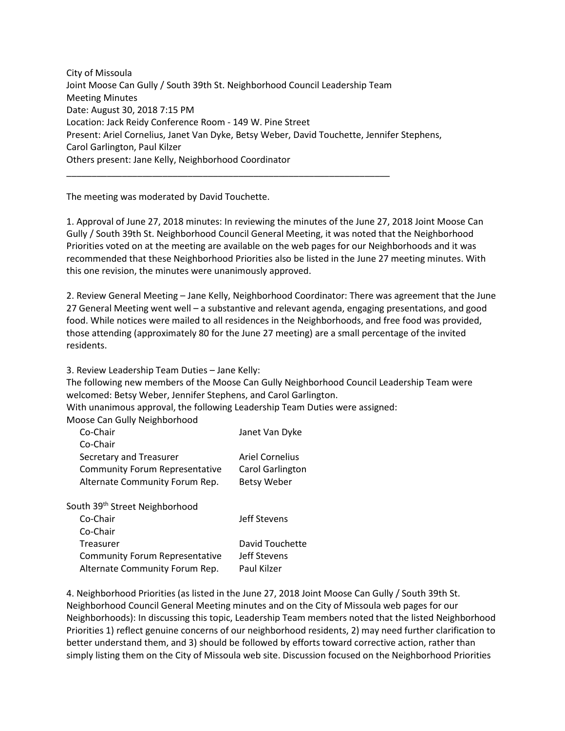City of Missoula Joint Moose Can Gully / South 39th St. Neighborhood Council Leadership Team Meeting Minutes Date: August 30, 2018 7:15 PM Location: Jack Reidy Conference Room - 149 W. Pine Street Present: Ariel Cornelius, Janet Van Dyke, Betsy Weber, David Touchette, Jennifer Stephens, Carol Garlington, Paul Kilzer Others present: Jane Kelly, Neighborhood Coordinator

\_\_\_\_\_\_\_\_\_\_\_\_\_\_\_\_\_\_\_\_\_\_\_\_\_\_\_\_\_\_\_\_\_\_\_\_\_\_\_\_\_\_\_\_\_\_\_\_\_\_\_\_\_\_\_\_\_\_\_\_\_\_\_\_

The meeting was moderated by David Touchette.

1. Approval of June 27, 2018 minutes: In reviewing the minutes of the June 27, 2018 Joint Moose Can Gully / South 39th St. Neighborhood Council General Meeting, it was noted that the Neighborhood Priorities voted on at the meeting are available on the web pages for our Neighborhoods and it was recommended that these Neighborhood Priorities also be listed in the June 27 meeting minutes. With this one revision, the minutes were unanimously approved.

2. Review General Meeting – Jane Kelly, Neighborhood Coordinator: There was agreement that the June 27 General Meeting went well – a substantive and relevant agenda, engaging presentations, and good food. While notices were mailed to all residences in the Neighborhoods, and free food was provided, those attending (approximately 80 for the June 27 meeting) are a small percentage of the invited residents.

3. Review Leadership Team Duties – Jane Kelly:

The following new members of the Moose Can Gully Neighborhood Council Leadership Team were welcomed: Betsy Weber, Jennifer Stephens, and Carol Garlington.

With unanimous approval, the following Leadership Team Duties were assigned:

Moose Can Gully Neighborhood

| Co-Chair                              | Janet Van Dyke          |
|---------------------------------------|-------------------------|
| Co-Chair                              |                         |
| Secretary and Treasurer               | <b>Ariel Cornelius</b>  |
| <b>Community Forum Representative</b> | <b>Carol Garlington</b> |
| Alternate Community Forum Rep.        | <b>Betsy Weber</b>      |
|                                       |                         |

South 39th Street Neighborhood

| Co-Chair                              | Jeff Stevens    |
|---------------------------------------|-----------------|
| Co-Chair                              |                 |
| Treasurer                             | David Touchette |
| <b>Community Forum Representative</b> | Jeff Stevens    |
| Alternate Community Forum Rep.        | Paul Kilzer     |

4. Neighborhood Priorities (as listed in the June 27, 2018 Joint Moose Can Gully / South 39th St. Neighborhood Council General Meeting minutes and on the City of Missoula web pages for our Neighborhoods): In discussing this topic, Leadership Team members noted that the listed Neighborhood Priorities 1) reflect genuine concerns of our neighborhood residents, 2) may need further clarification to better understand them, and 3) should be followed by efforts toward corrective action, rather than simply listing them on the City of Missoula web site. Discussion focused on the Neighborhood Priorities